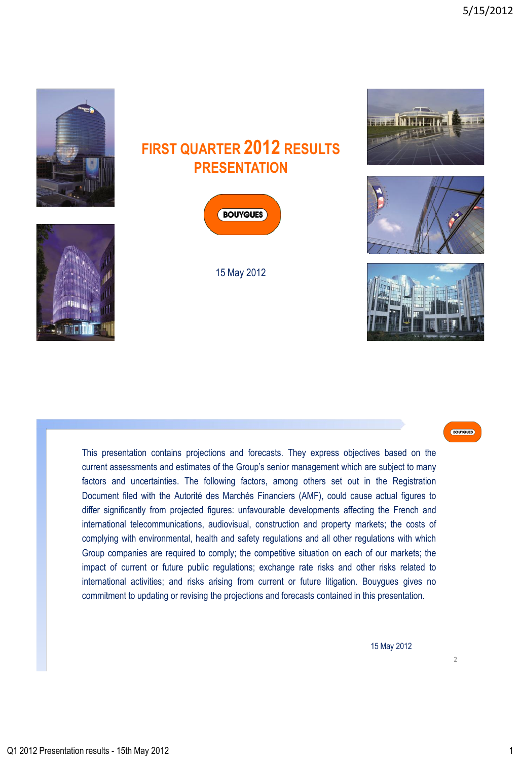



15 May 2012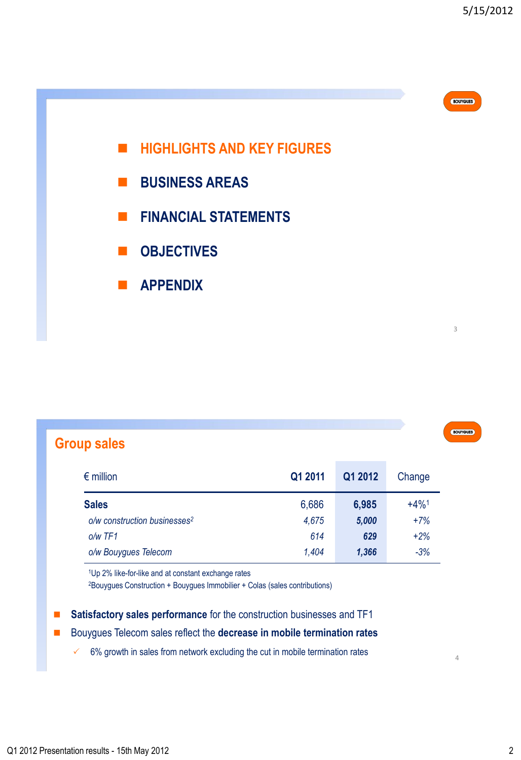3

BOUYGUES

4



**APPENDIX**

| $\cdot$ rniin e. |  |  |
|------------------|--|--|
|                  |  |  |

| $\epsilon$ million                       | Q1 2011 | Q1 2012 | Change              |
|------------------------------------------|---------|---------|---------------------|
| <b>Sales</b>                             | 6,686   | 6,985   | $+4\%$ <sup>1</sup> |
| o/w construction businesses <sup>2</sup> | 4,675   | 5,000   | $+7%$               |
| $o/w$ TF1                                | 614     | 629     | $+2%$               |
| o/w Bouygues Telecom                     | 1,404   | 1,366   | $-3%$               |

<sup>1</sup>Up 2% like-for-like and at constant exchange rates

<sup>2</sup>Bouygues Construction + Bouygues Immobilier + Colas (sales contributions)

■ Satisfactory sales performance for the construction businesses and TF1

- Bouygues Telecom sales reflect the **decrease in mobile termination rates** 
	- $6%$  growth in sales from network excluding the cut in mobile termination rates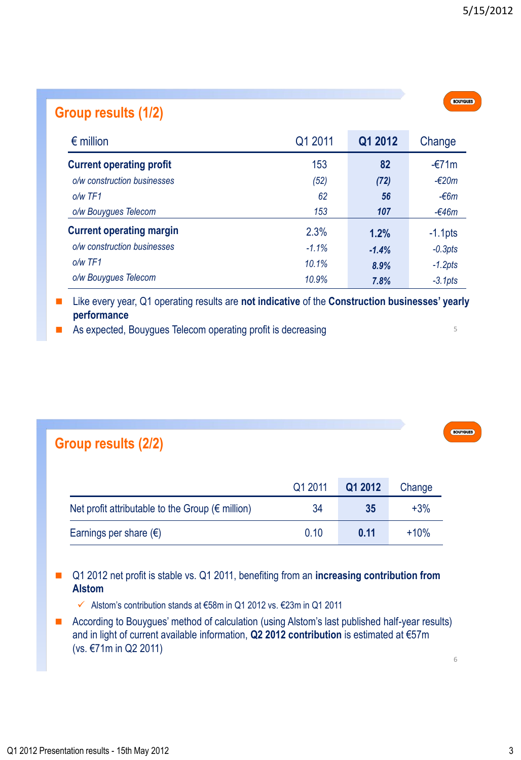| Group results (1/2)             |          |         |                 |
|---------------------------------|----------|---------|-----------------|
| $\epsilon$ million              | Q1 2011  | Q1 2012 | Change          |
| <b>Current operating profit</b> | 153      | 82      | $-£71m$         |
| o/w construction businesses     | (52)     | (72)    | $-\epsilon$ 20m |
| $o/w$ TF1                       | 62       | 56      | $-66m$          |
| o/w Bouygues Telecom            | 153      | 107     | $-646m$         |
| <b>Current operating margin</b> | 2.3%     | 1.2%    | $-1.1$ pts      |
| o/w construction businesses     | $-1.1\%$ | $-1.4%$ | $-0.3pts$       |
| $o/w$ TF1                       | 10.1%    | 8.9%    | $-1.2pts$       |
| o/w Bouygues Telecom            | 10.9%    | 7.8%    | $-3.1pts$       |

■ Like every year, Q1 operating results are **not indicative** of the **Construction businesses' yearly performance** 

As expected, Bouygues Telecom operating profit is decreasing

### **Group results (2/2)**

|                                                            | Q1 2011 | Q1 2012 | Change |
|------------------------------------------------------------|---------|---------|--------|
| Net profit attributable to the Group ( $\epsilon$ million) | 34      | 35      | $+3%$  |
| Earnings per share $(\epsilon)$                            | 0.10    | 0.11    | $+10%$ |

- Q1 2012 net profit is stable vs. Q1 2011, benefiting from an **increasing contribution from Alstom**
	- Alstom"s contribution stands at €58m in Q1 2012 vs. €23m in Q1 2011
- According to Bouygues' method of calculation (using Alstom's last published half-year results) and in light of current available information, **Q2 2012 contribution** is estimated at €57m (vs. €71m in Q2 2011)

6

5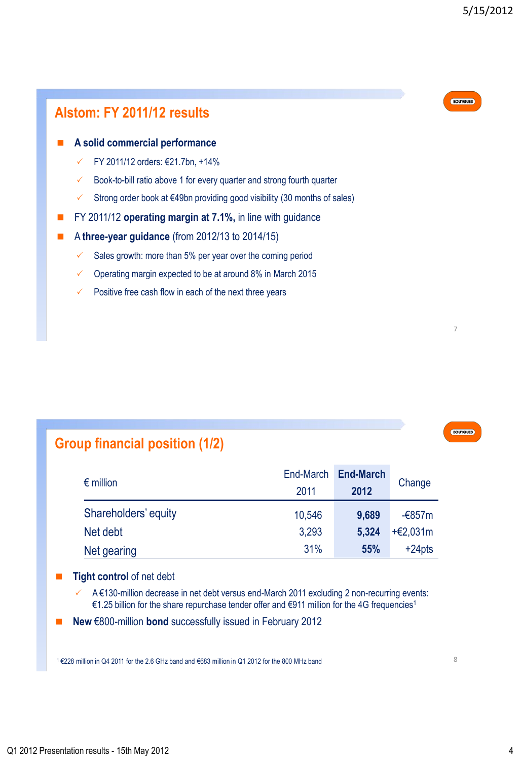

## **Group financial position (1/2)**

| $\epsilon$ million   | End-March<br>2011 | <b>End-March</b><br>2012 | Change     |
|----------------------|-------------------|--------------------------|------------|
| Shareholders' equity | 10,546            | 9,689                    | $-6857m$   |
| Net debt             | 3.293             | 5,324                    | $+€2,031m$ |
| Net gearing          | 31%               | 55%                      | $+24$ pts  |

#### **Tight control** of net debt

 A €130-million decrease in net debt versus end-March 2011 excluding 2 non-recurring events: €1.25 billion for the share repurchase tender offer and €911 million for the 4G frequencies<sup>1</sup>

**New** €800-million **bond** successfully issued in February 2012

 $1$  €228 million in Q4 2011 for the 2.6 GHz band and €683 million in Q1 2012 for the 800 MHz band 8 and 8 8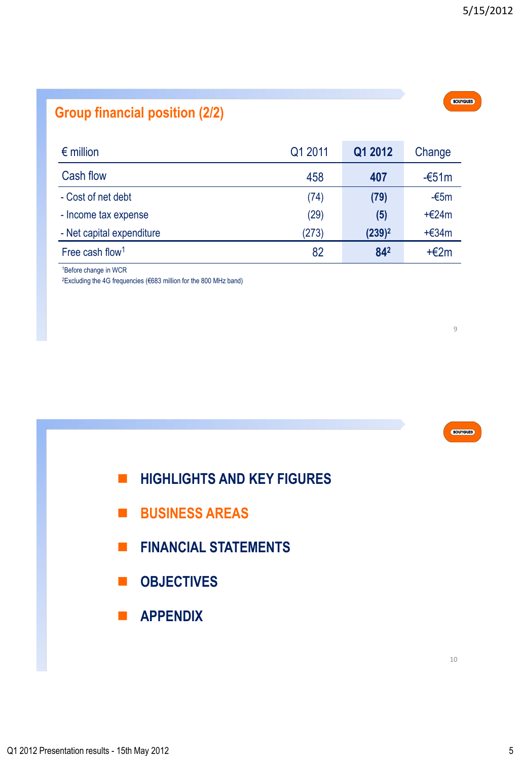# **Group financial position (2/2)**

| $\epsilon$ million          | Q1 2011 | Q1 2012   | Change  |
|-----------------------------|---------|-----------|---------|
| Cash flow                   | 458     | 407       | $-651m$ |
| - Cost of net debt          | (74)    | (79)      | $-65m$  |
| - Income tax expense        | (29)    | (5)       | $+624m$ |
| - Net capital expenditure   | (273)   | $(239)^2$ | $+634m$ |
| Free cash flow <sup>1</sup> | 82      | 842       | $+E2m$  |

<sup>1</sup>Before change in WCR

<sup>2</sup>Excluding the 4G frequencies (€683 million for the 800 MHz band)

9

BOUYGUES

- **HIGHLIGHTS AND KEY FIGURES**
- **BUSINESS AREAS**
- **FINANCIAL STATEMENTS**
- $\blacksquare$  **OBJECTIVES**
- **APPENDIX**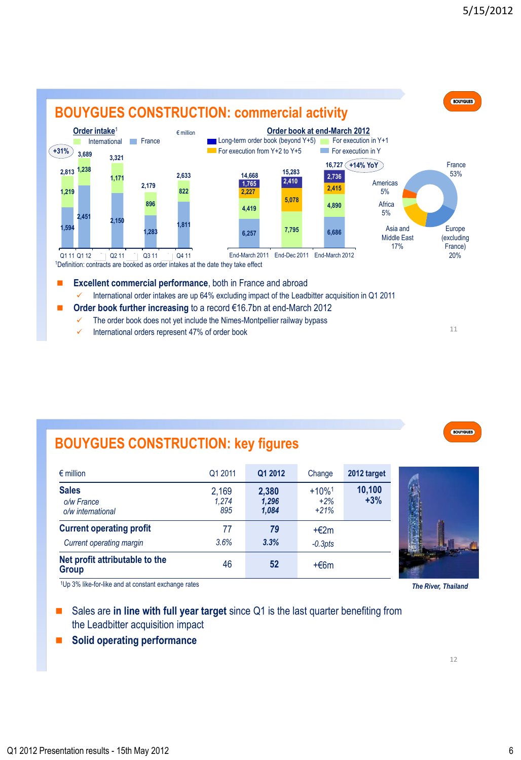

- The order book does not yet include the Nimes-Montpellier railway bypass
- International orders represent 47% of order book

## **BOUYGUES CONSTRUCTION: key figures**

| $\epsilon$ million                                                 | Q1 2011               | Q1 2012                 | Change                                  | 2012 target     |  |
|--------------------------------------------------------------------|-----------------------|-------------------------|-----------------------------------------|-----------------|--|
| <b>Sales</b><br>o/w France<br>o/w international                    | 2,169<br>1.274<br>895 | 2,380<br>1,296<br>1,084 | $+10\%$ <sup>1</sup><br>$+2%$<br>$+21%$ | 10,100<br>$+3%$ |  |
| <b>Current operating profit</b><br><b>Current operating margin</b> | 77<br>3.6%            | 79<br>3.3%              | $+E2m$<br>$-0.3pts$                     |                 |  |
| Net profit attributable to the<br><b>Group</b>                     | 46                    | 52                      | $+66m$                                  |                 |  |

<sup>1</sup>Up 3% like-for-like and at constant exchange rates *The River, Thailand*

- Sales are **in line with full year target** since Q1 is the last quarter benefiting from the Leadbitter acquisition impact
- **Solid operating performance**

11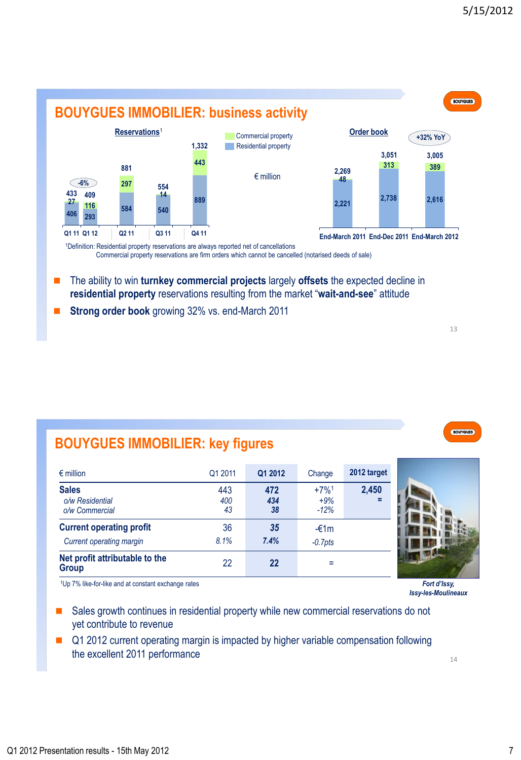

Commercial property reservations are firm orders which cannot be cancelled (notarised deeds of sale)

- The ability to win **turnkey commercial projects** largely **offsets** the expected decline in **residential property** reservations resulting from the market "**wait-and-see**" attitude
- **Strong order book** growing 32% vs. end-March 2011

# **BOUYGUES IMMOBILIER: key figures**

| $\epsilon$ million                                                 | Q1 2011          | Q1 2012          | Change                    | 2012 target  |
|--------------------------------------------------------------------|------------------|------------------|---------------------------|--------------|
| <b>Sales</b><br>o/w Residential<br>o/w Commercial                  | 443<br>400<br>43 | 472<br>434<br>38 | $+7%1$<br>$+9%$<br>$-12%$ | 2,450<br>- 2 |
| <b>Current operating profit</b><br><b>Current operating margin</b> | 36<br>8.1%       | 35<br>7.4%       | $-£1m$<br>$-0.7$ pts      |              |
| Net profit attributable to the<br><b>Group</b>                     | 22               | 22               |                           |              |

<sup>1</sup>Up 7% like-for-like and at constant exchange rates *Fort d'Issy,* 

- Sales growth continues in residential property while new commercial reservations do not yet contribute to revenue
- Q1 2012 current operating margin is impacted by higher variable compensation following the excellent 2011 performance



*Issy-les-Moulineaux*

14

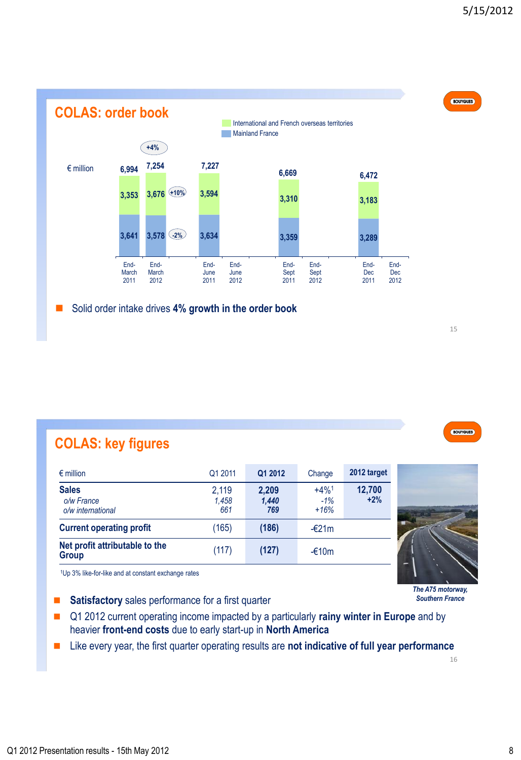



## **COLAS: key figures**

| $\epsilon$ million                              | Q1 2011               | Q1 2012               | Change                    | 2012 target     |
|-------------------------------------------------|-----------------------|-----------------------|---------------------------|-----------------|
| <b>Sales</b><br>o/w France<br>o/w international | 2,119<br>1.458<br>661 | 2,209<br>1,440<br>769 | $+4%1$<br>$-1%$<br>$+16%$ | 12,700<br>$+2%$ |
| <b>Current operating profit</b>                 | (165)                 | (186)                 | $-\epsilon$ 21m           |                 |
| Net profit attributable to the<br><b>Group</b>  | (117)                 | (127)                 | $-£10m$                   |                 |

<sup>1</sup>Up 3% like-for-like and at constant exchange rates

- **Satisfactory** sales performance for a first quarter
- Q1 2012 current operating income impacted by a particularly **rainy winter in Europe** and by heavier **front-end costs** due to early start-up in **North America**
- Like every year, the first quarter operating results are not indicative of full year performance

16

*The A75 motorway, Southern France*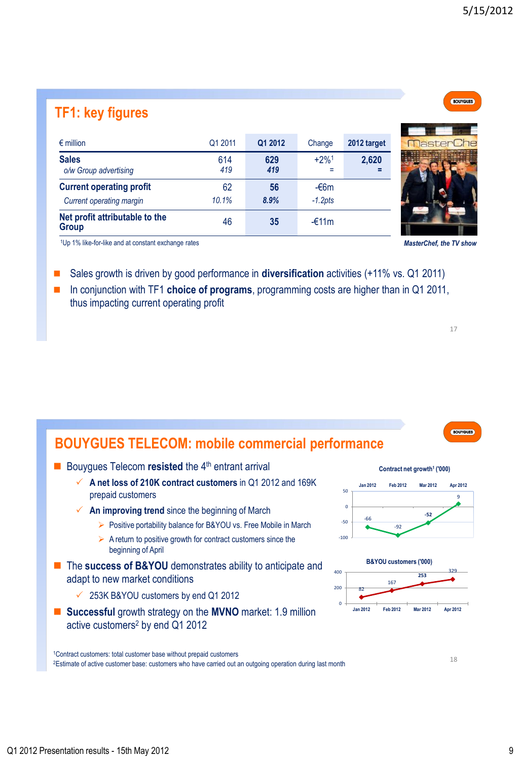# **TF1: key figures**

| $\epsilon$ million                             | Q1 2011    | Q1 2012    | Change             | 2012 target |
|------------------------------------------------|------------|------------|--------------------|-------------|
| <b>Sales</b><br>o/w Group advertising          | 614<br>419 | 629<br>419 | $+2%1$<br>$\equiv$ | 2,620       |
| <b>Current operating profit</b>                | 62         | 56         | $-66m$             |             |
| Current operating margin                       | 10.1%      | 8.9%       | $-1.2pts$          |             |
| Net profit attributable to the<br><b>Group</b> | 46         | 35         | $-£11m$            |             |

<sup>1</sup>Up 1% like-for-like and at constant exchange rates *MasterChef, the TV show*

- Sales growth is driven by good performance in **diversification** activities (+11% vs. Q1 2011)
- In conjunction with TF1 **choice of programs**, programming costs are higher than in Q1 2011, thus impacting current operating profit

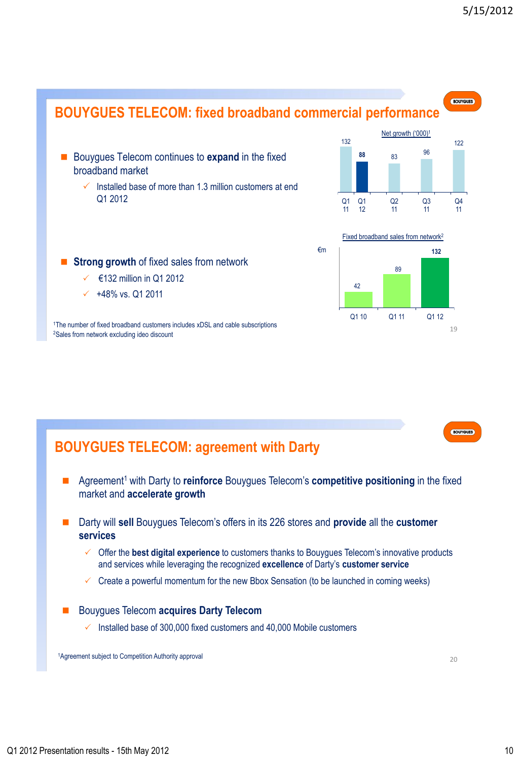

<sup>2</sup>Sales from network excluding ideo discount

BOUYGUES

### **BOUYGUES TELECOM: agreement with Darty**

- Agreement<sup>1</sup> with Darty to **reinforce** Bouygues Telecom's **competitive positioning** in the fixed market and **accelerate growth**
- Darty will **sell** Bouygues Telecom's offers in its 226 stores and **provide** all the **customer services**
	- Offer the **best digital experience** to customers thanks to Bouygues Telecom"s innovative products and services while leveraging the recognized **excellence** of Darty"s **customer service**
	- $\checkmark$  Create a powerful momentum for the new Bbox Sensation (to be launched in coming weeks)
- Bouygues Telecom **acquires Darty Telecom** 
	- $\checkmark$  Installed base of 300,000 fixed customers and 40,000 Mobile customers

<sup>1</sup>Agreement subject to Competition Authority approval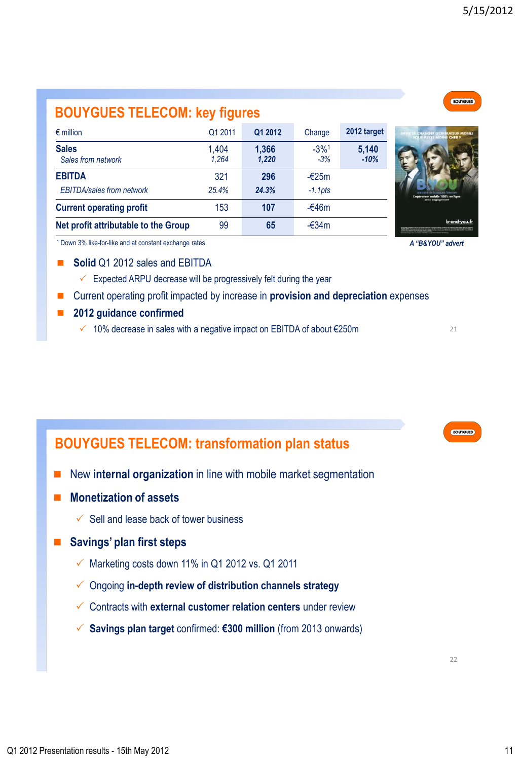# **BOUYGUES TELECOM: key figures**

| Sales from network                   | 1.264 | 1.220 | $-3%$     |
|--------------------------------------|-------|-------|-----------|
| <b>EBITDA</b>                        | 321   | 296   | $-$ €25m  |
| <b>EBITDA/sales from network</b>     | 25.4% | 24.3% | $-1.1pts$ |
| <b>Current operating profit</b>      | 153   | 107   | -€46m     |
| Net profit attributable to the Group | 99    | 65    | -€34m     |

€ million Q1 2011 **Q1 2012** Change **2012 target**

1,404

**1,366**

-3%<sup>1</sup>

**5,140** *-10%*

<sup>1</sup> Down 3% like-for-like and at constant exchange rates

**Sales**

#### **Solid** Q1 2012 sales and EBITDA

- $\checkmark$  Expected ARPU decrease will be progressively felt during the year
- Current operating profit impacted by increase in **provision and depreciation** expenses
- **2012 guidance confirmed** 
	- 10% decrease in sales with a negative impact on EBITDA of about €250m

### **BOUYGUES TELECOM: transformation plan status**

- New **internal organization** in line with mobile market segmentation
- **Monetization of assets** 
	- $\checkmark$  Sell and lease back of tower business

### **Savings' plan first steps**

- $\checkmark$  Marketing costs down 11% in Q1 2012 vs. Q1 2011
- Ongoing **in-depth review of distribution channels strategy**
- Contracts with **external customer relation centers** under review
- **Savings plan target** confirmed: **€300 million** (from 2013 onwards)



*A "B&YOU" advert*



21

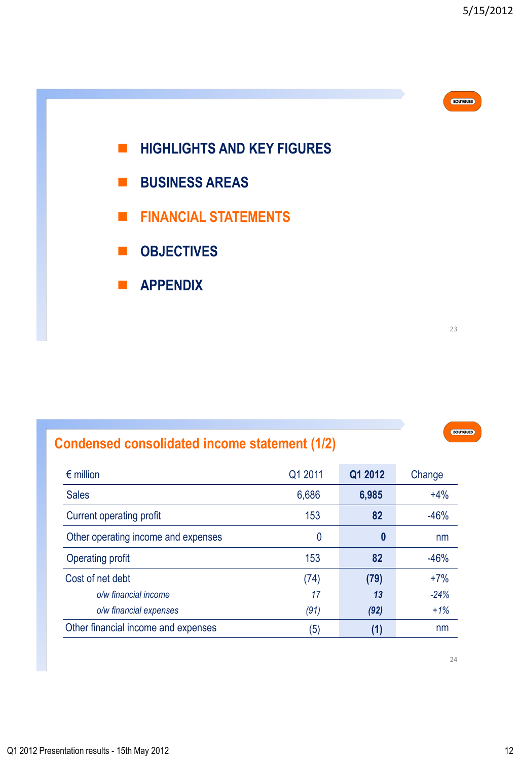

# **Condensed consolidated income statement (1/2)**

| $\epsilon$ million                  | Q1 2011 | Q1 2012 | Change |
|-------------------------------------|---------|---------|--------|
| <b>Sales</b>                        | 6,686   | 6,985   | $+4%$  |
| Current operating profit            | 153     | 82      | $-46%$ |
| Other operating income and expenses | 0       | 0       | nm     |
| <b>Operating profit</b>             | 153     | 82      | $-46%$ |
| Cost of net debt                    | (74)    | (79)    | $+7%$  |
| o/w financial income                | 17      | 13      | $-24%$ |
| o/w financial expenses              | (91)    | (92)    | $+1%$  |
| Other financial income and expenses | (5)     | (1)     | nm     |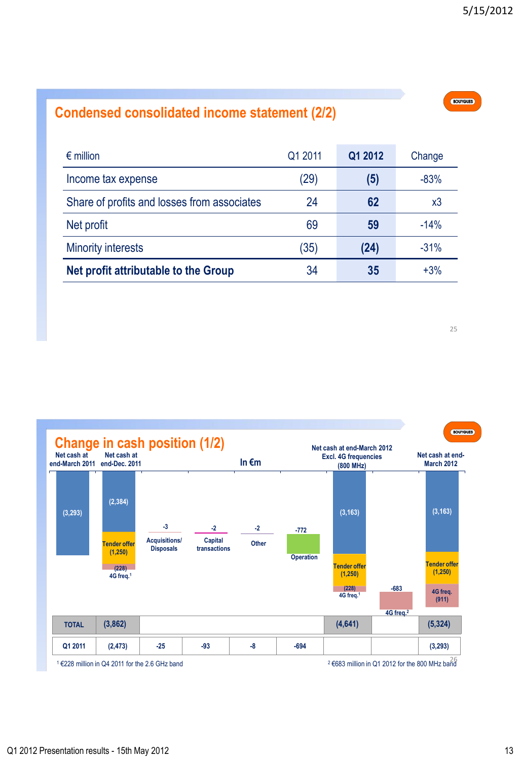# **Condensed consolidated income statement (2/2)**

| $\epsilon$ million                          | Q1 2011 | Q1 2012 | Change |
|---------------------------------------------|---------|---------|--------|
| Income tax expense                          | (29)    | (5)     | $-83%$ |
| Share of profits and losses from associates | 24      | 62      | x3     |
| Net profit                                  | 69      | 59      | $-14%$ |
| <b>Minority interests</b>                   | (35)    | (24)    | $-31%$ |
| Net profit attributable to the Group        | 34      | 35      | $+3%$  |

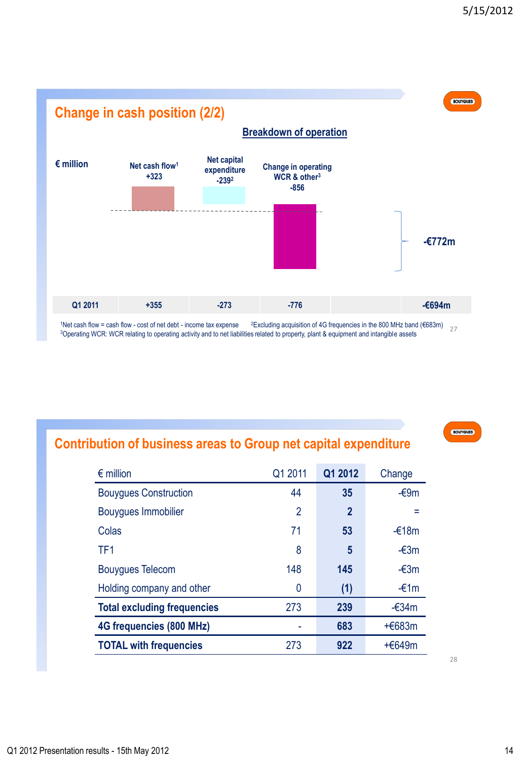

1Net cash flow = cash flow - cost of net debt - income tax expense <sup>2</sup>Excluding acquisition of 4G frequencies in the 800 MHz band (€683m)  $27$ <sup>3</sup>Operating WCR: WCR relating to operating activity and to net liabilities related to property, plant & equipment and intangible assets

BOUYGUES

### **Contribution of business areas to Group net capital expenditure**

| Q1 2011        | Q1 2012        | Change         |
|----------------|----------------|----------------|
| 44             | 35             | -€9m           |
| $\overline{2}$ | $\overline{2}$ |                |
| 71             | 53             | $-£18m$        |
| 8              | 5              | $-\epsilon$ 3m |
| 148            | 145            | $-\epsilon$ 3m |
| 0              | (1)            | $-£1m$         |
| 273            | 239            | $-634m$        |
|                | 683            | +€683m         |
| 273            | 922            | +€649m         |
|                |                |                |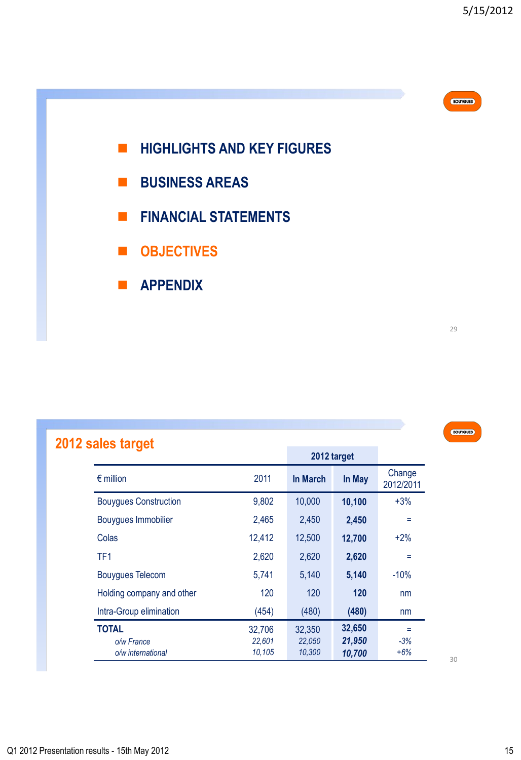

- **BUSINESS AREAS**
- **FINANCIAL STATEMENTS**
- **OBJECTIVES**
- **APPENDIX**

# BOUYGUES

# **2012 sales target**

|                              |        |          | 2012 target |                     |
|------------------------------|--------|----------|-------------|---------------------|
| $\epsilon$ million           | 2011   | In March | In May      | Change<br>2012/2011 |
| <b>Bouygues Construction</b> | 9,802  | 10,000   | 10,100      | $+3%$               |
| Bouygues Immobilier          | 2,465  | 2,450    | 2,450       | Ξ                   |
| Colas                        | 12,412 | 12,500   | 12,700      | $+2\%$              |
| TF <sub>1</sub>              | 2,620  | 2,620    | 2,620       | Ξ                   |
| <b>Bouygues Telecom</b>      | 5,741  | 5,140    | 5,140       | $-10%$              |
| Holding company and other    | 120    | 120      | 120         | nm                  |
| Intra-Group elimination      | (454)  | (480)    | (480)       | nm                  |
| <b>TOTAL</b>                 | 32,706 | 32,350   | 32,650      | Ξ                   |
| o/w France                   | 22.601 | 22.050   | 21,950      | $-3%$               |
| o/w international            | 10,105 | 10,300   | 10,700      | $+6%$               |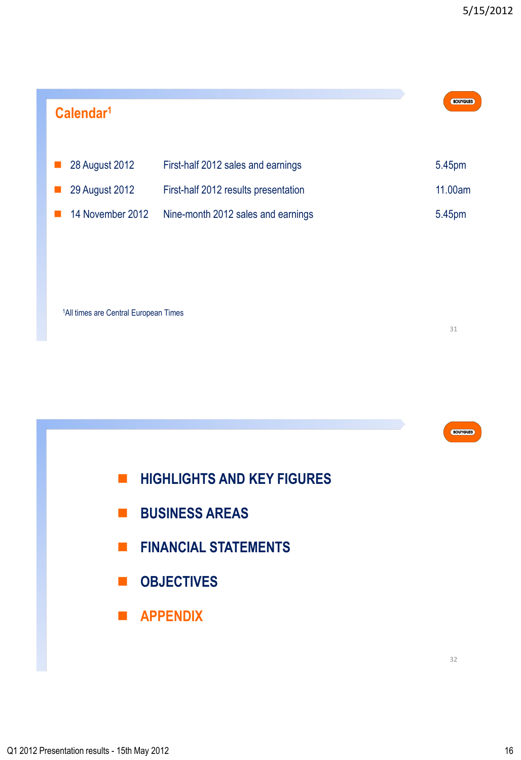| Calendar <sup>1</sup> |                                      | <b>BOUYGUES</b> |
|-----------------------|--------------------------------------|-----------------|
| 28 August 2012        | First-half 2012 sales and earnings   | 5.45pm          |
| 29 August 2012        | First-half 2012 results presentation | 11.00am         |
| 14 November 2012      | Nine-month 2012 sales and earnings   | 5.45pm          |
|                       |                                      |                 |

<sup>1</sup>All times are Central European Times

31

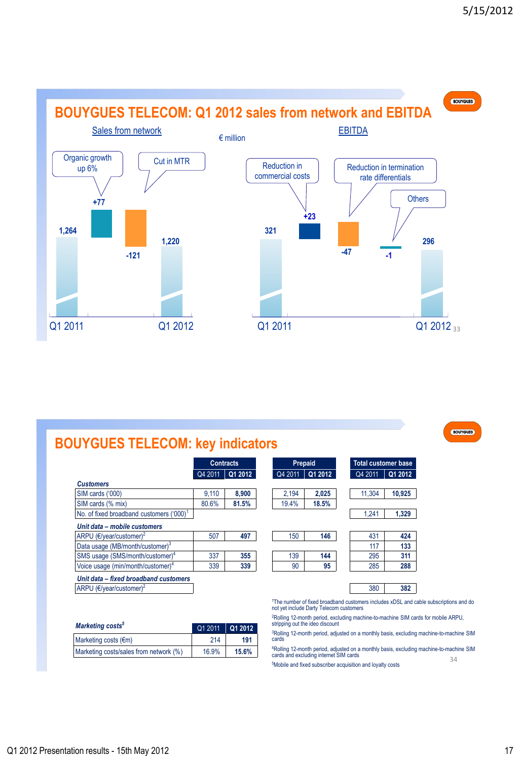

# **BOUYGUES TELECOM: key indicators**

|                                                      | <b>Contracts</b> |         | Prepaid |         | <b>Total customer base</b>                                             |         |
|------------------------------------------------------|------------------|---------|---------|---------|------------------------------------------------------------------------|---------|
|                                                      | Q4 2011          | Q1 2012 | Q4 2011 | Q1 2012 | Q4 2011                                                                | Q1 2012 |
| <b>Customers</b>                                     |                  |         |         |         |                                                                        |         |
| SIM cards ('000)                                     | 9.110            | 8.900   | 2.194   | 2.025   | 11.304                                                                 | 10.925  |
| SIM cards (% mix)                                    | 80.6%            | 81.5%   | 19.4%   | 18.5%   |                                                                        |         |
| No. of fixed broadband customers ('000) <sup>1</sup> |                  |         |         |         | 1.241                                                                  | 1.329   |
| Unit data - mobile customers                         |                  |         |         |         |                                                                        |         |
| ARPU ( $\epsilon$ /year/customer) <sup>2</sup>       | 507              | 497     | 150     | 146     | 431                                                                    | 424     |
| Data usage (MB/month/customer) <sup>3</sup>          |                  |         |         |         | 117                                                                    | 133     |
| SMS usage (SMS/month/customer) <sup>4</sup>          | 337              | 355     | 139     | 144     | 295                                                                    | 311     |
| Voice usage (min/month/customer) <sup>4</sup>        | 339              | 339     | 90      | 95      | 285                                                                    | 288     |
| Unit data - fixed broadband customers                |                  |         |         |         |                                                                        |         |
| ARPU ( $\epsilon$ /year/customer) <sup>2</sup>       |                  |         |         |         | 380                                                                    | 382     |
|                                                      |                  |         |         |         | <sup>1</sup> The number of fixed broadband customers includes xDSL and |         |

|         | Contracts | <b>Prepaid</b> |         | <b>Total customer base</b> |         |         |
|---------|-----------|----------------|---------|----------------------------|---------|---------|
| Q4 2011 | Q1 2012   | Q4 2011        | Q1 2012 |                            | Q4 2011 | Q1 2012 |
|         |           |                |         |                            |         |         |
| 9.110   | 8.900     | 2.194          | 2.025   |                            | 11,304  | 10.925  |
| 80.6%   | 81.5%     | 19.4%          | 18.5%   |                            |         |         |
|         |           |                |         |                            | 1.241   | 1,329   |
|         |           |                |         |                            |         |         |
| 507     | 497       | 150            | 146     |                            | 431     | 424     |
|         |           |                |         |                            | 117     | 133     |
| 337     | 355       | 139            | 144     |                            | 295     | 311     |
| 339     | 339       | 90             | 95      |                            | 285     | 288     |
|         |           |                |         |                            |         |         |
|         |           |                |         |                            | 380     | 382     |

<sup>1</sup>The number of fixed broadband customers includes xDSL and cable subscriptions and do not yet include Darty Telecom customers

<sup>2</sup>Rolling 12-month period, excluding machine-to-machine SIM cards for mobile ARPU, stripping out the ideo discount

<sup>3</sup>Rolling 12-month period, adjusted on a monthly basis, excluding machine-to-machine SIM cards

34 <sup>4</sup>Rolling 12-month period, adjusted on a monthly basis, excluding machine-to-machine SIM cards and excluding internet SIM cards

5Mobile and fixed subscriber acquisition and loyalty costs

| Marketing costs <sup>5</sup>           | Q1 2011   Q1 2012 |       |
|----------------------------------------|-------------------|-------|
| Marketing costs $(\epsilon m)$         | 214               | 191   |
| Marketing costs/sales from network (%) | 16.9%             | 15.6% |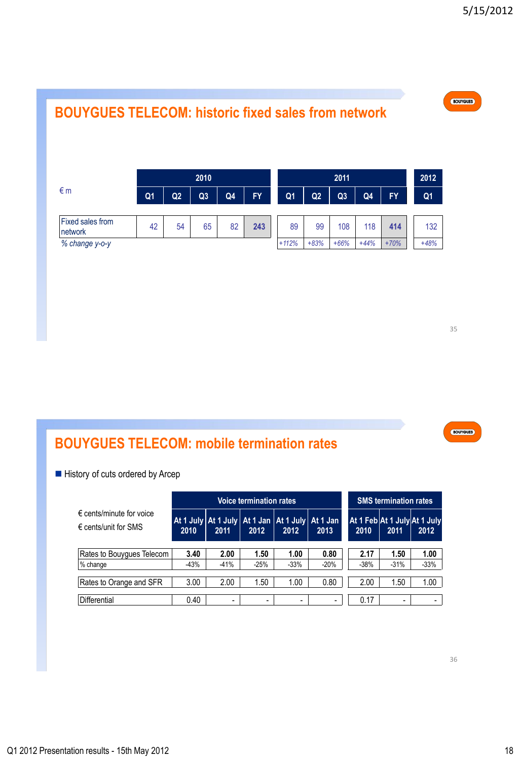

35

BOUYGUES

# **BOUYGUES TELECOM: mobile termination rates**

History of cuts ordered by Arcep

|                                                                    |      |                          | <b>Voice termination rates</b> |                                                                 |        | <b>SMS termination rates</b>         |                          |                          |
|--------------------------------------------------------------------|------|--------------------------|--------------------------------|-----------------------------------------------------------------|--------|--------------------------------------|--------------------------|--------------------------|
| $\epsilon$ cents/minute for voice<br>$\epsilon$ cents/unit for SMS | 2010 | 2011                     | 2012                           | At 1 July   At 1 July   At 1 Jan   At 1 July   At 1 Jan<br>2012 | 2013   | At 1 Feb At 1 July At 1 July<br>2010 | 2011                     | 2012                     |
| Rates to Bouyques Telecom                                          | 3.40 | 2.00                     | 1.50                           | 1.00                                                            | 0.80   | 2.17                                 | 1.50                     | 1.00                     |
| % change                                                           | -43% | $-41%$                   | $-25%$                         | $-33%$                                                          | $-20%$ | $-38%$                               | $-31%$                   | $-33%$                   |
| Rates to Orange and SFR                                            | 3.00 | 2.00                     | 1.50                           | 1.00                                                            | 0.80   | 2.00                                 | 1.50                     | 1.00                     |
| Differential                                                       | 0.40 | $\overline{\phantom{0}}$ | -                              | $\overline{\phantom{a}}$                                        | -      | 0.17                                 | $\overline{\phantom{0}}$ | $\overline{\phantom{0}}$ |